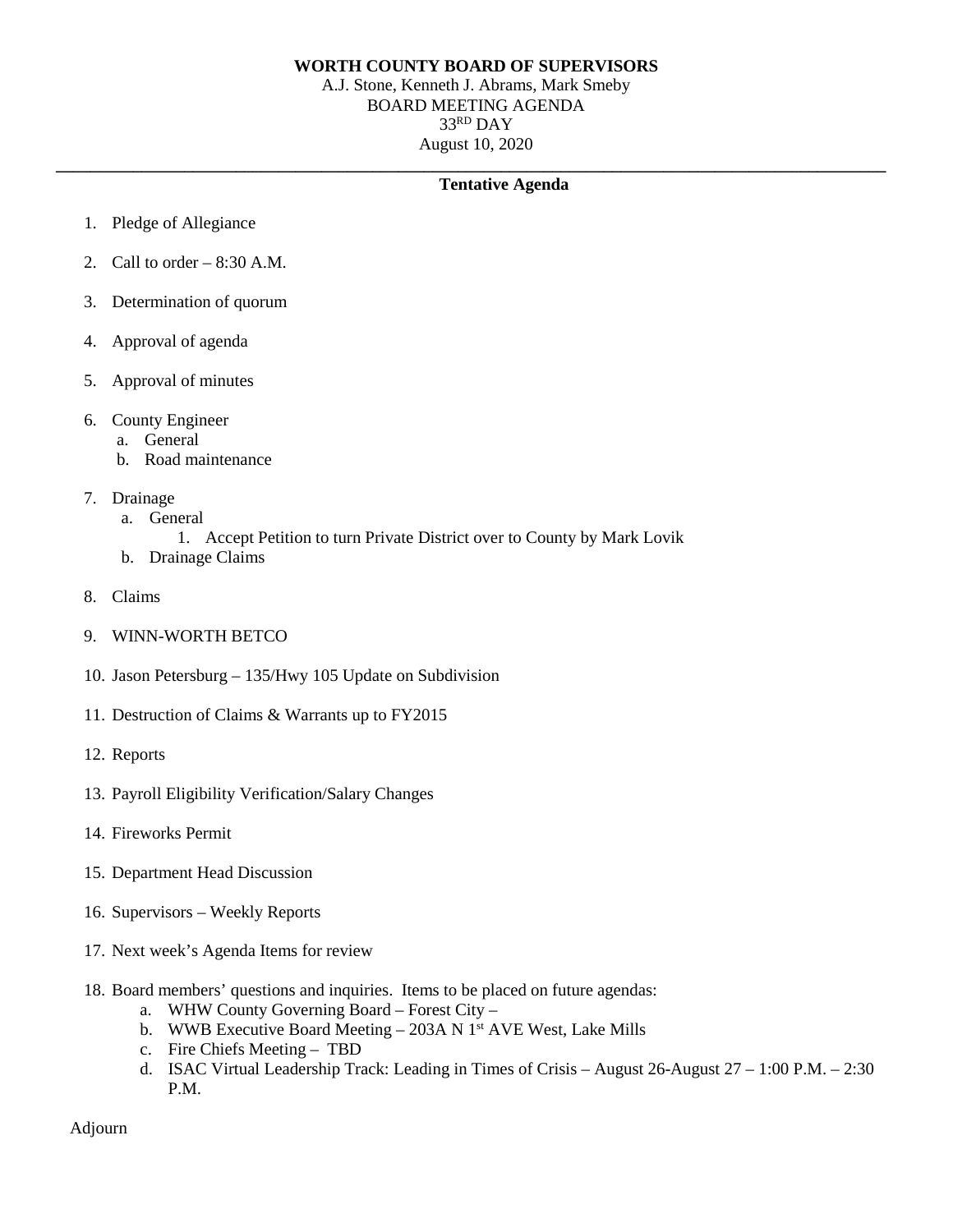## **WORTH COUNTY BOARD OF SUPERVISORS**

A.J. Stone, Kenneth J. Abrams, Mark Smeby BOARD MEETING AGENDA 33RD DAY August 10, 2020

## **\_\_\_\_\_\_\_\_\_\_\_\_\_\_\_\_\_\_\_\_\_\_\_\_\_\_\_\_\_\_\_\_\_\_\_\_\_\_\_\_\_\_\_\_\_\_\_\_\_\_\_\_\_\_\_\_\_\_\_\_\_\_\_\_\_\_\_\_\_\_\_\_\_\_\_\_\_\_\_\_\_\_\_\_\_\_\_\_\_\_\_\_\_\_\_\_\_ Tentative Agenda**

- 1. Pledge of Allegiance
- 2. Call to order  $-8:30$  A.M.
- 3. Determination of quorum
- 4. Approval of agenda
- 5. Approval of minutes
- 6. County Engineer
	- a. General
	- b. Road maintenance
- 7. Drainage
	- a. General
		- 1. Accept Petition to turn Private District over to County by Mark Lovik
	- b. Drainage Claims
- 8. Claims
- 9. WINN-WORTH BETCO
- 10. Jason Petersburg 135/Hwy 105 Update on Subdivision
- 11. Destruction of Claims & Warrants up to FY2015
- 12. Reports
- 13. Payroll Eligibility Verification/Salary Changes
- 14. Fireworks Permit
- 15. Department Head Discussion
- 16. Supervisors Weekly Reports
- 17. Next week's Agenda Items for review
- 18. Board members' questions and inquiries. Items to be placed on future agendas:
	- a. WHW County Governing Board Forest City –
	- b. WWB Executive Board Meeting  $-$  203A N 1<sup>st</sup> AVE West, Lake Mills
	- c. Fire Chiefs Meeting TBD
	- d. ISAC Virtual Leadership Track: Leading in Times of Crisis August 26-August 27 1:00 P.M. 2:30 P.M.

Adjourn